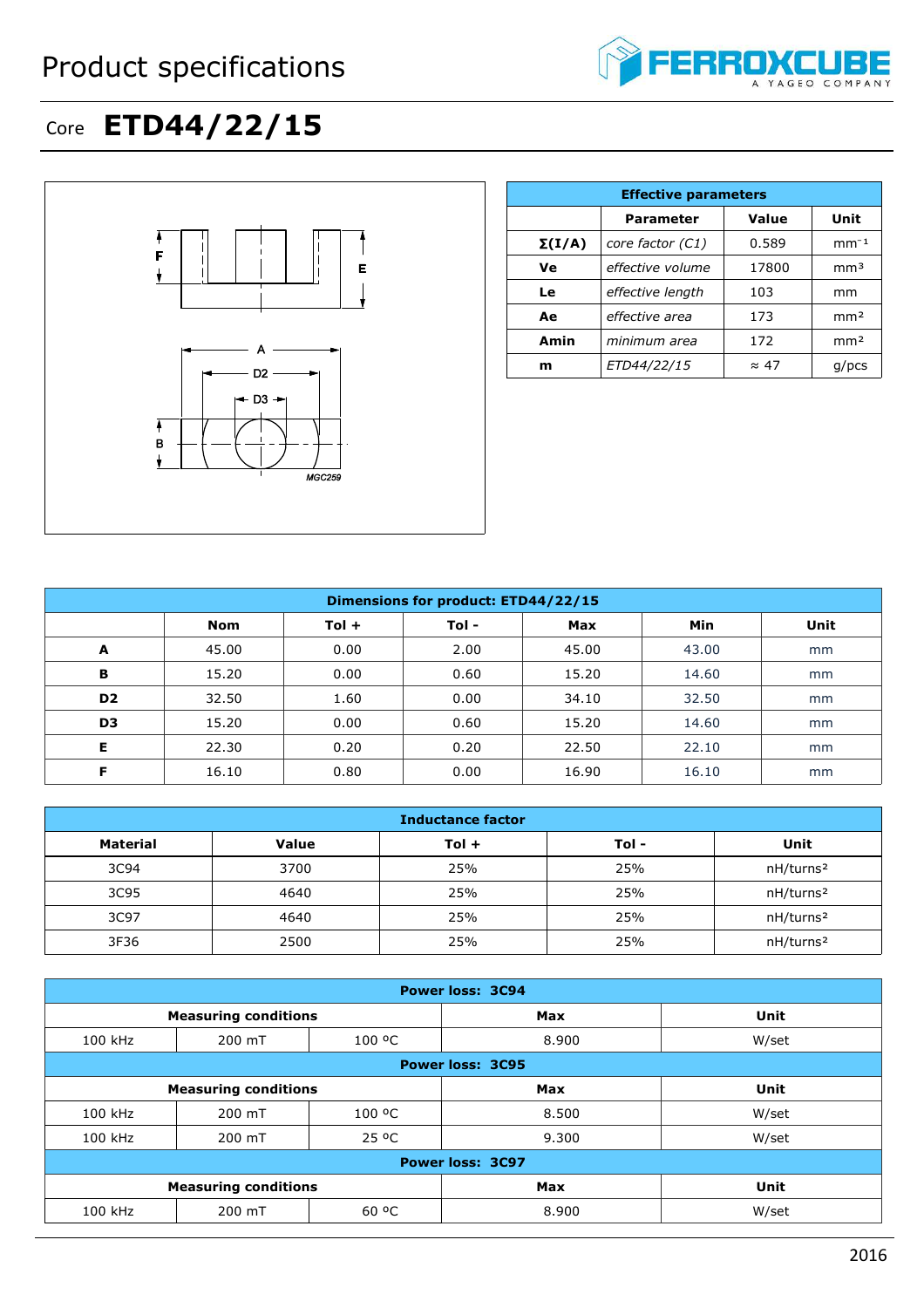## Product specifications



## Core **ETD44/22/15**



|               | <b>Effective parameters</b> |              |                 |  |  |  |
|---------------|-----------------------------|--------------|-----------------|--|--|--|
|               | <b>Parameter</b>            | Value        | Unit            |  |  |  |
| $\Sigma(I/A)$ | core factor (C1)            | 0.589        | $mm-1$          |  |  |  |
| Ve            | effective volume            | 17800        | mm <sup>3</sup> |  |  |  |
| Le            | effective length            | 103          | mm              |  |  |  |
| Ae            | effective area              | 173          | mm <sup>2</sup> |  |  |  |
| Amin          | minimum area                | 172          | mm <sup>2</sup> |  |  |  |
| m             | ETD44/22/15                 | $\approx$ 47 | $q$ /pcs        |  |  |  |

| Dimensions for product: ETD44/22/15 |       |         |       |            |            |      |
|-------------------------------------|-------|---------|-------|------------|------------|------|
|                                     | Nom   | $Tol +$ | Tol - | <b>Max</b> | <b>Min</b> | Unit |
| A                                   | 45.00 | 0.00    | 2.00  | 45.00      | 43.00      | mm   |
| в                                   | 15.20 | 0.00    | 0.60  | 15.20      | 14.60      | mm   |
| D <sub>2</sub>                      | 32.50 | 1.60    | 0.00  | 34.10      | 32.50      | mm   |
| D <sub>3</sub>                      | 15.20 | 0.00    | 0.60  | 15.20      | 14.60      | mm   |
| Е                                   | 22.30 | 0.20    | 0.20  | 22.50      | 22.10      | mm   |
| F                                   | 16.10 | 0.80    | 0.00  | 16.90      | 16.10      | mm   |

| <b>Inductance factor</b> |              |         |       |                       |  |
|--------------------------|--------------|---------|-------|-----------------------|--|
| Material                 | <b>Value</b> | $Tol +$ | Tol - | Unit                  |  |
| 3C94                     | 3700         | 25%     | 25%   | nH/turns <sup>2</sup> |  |
| 3C95                     | 4640         | 25%     | 25%   | nH/turns <sup>2</sup> |  |
| 3C97                     | 4640         | 25%     | 25%   | nH/turns <sup>2</sup> |  |
| 3F36                     | 2500         | 25%     | 25%   | nH/turns <sup>2</sup> |  |

| <b>Power loss: 3C94</b>     |                             |            |            |             |
|-----------------------------|-----------------------------|------------|------------|-------------|
| <b>Measuring conditions</b> |                             | <b>Max</b> | Unit       |             |
| 100 kHz                     | 200 mT                      | 100 °C     | 8.900      | W/set       |
| <b>Power loss: 3C95</b>     |                             |            |            |             |
|                             | <b>Measuring conditions</b> |            | <b>Max</b> | <b>Unit</b> |
| 100 kHz                     | 200 mT                      | 100 °C     | 8.500      | W/set       |
| 100 kHz                     | 200 mT                      | 25 °C      | 9.300      | W/set       |
| <b>Power loss: 3C97</b>     |                             |            |            |             |
|                             | <b>Measuring conditions</b> |            | <b>Max</b> | Unit        |
| 100 kHz                     | 200 mT                      | 60 °C      | 8.900      | W/set       |